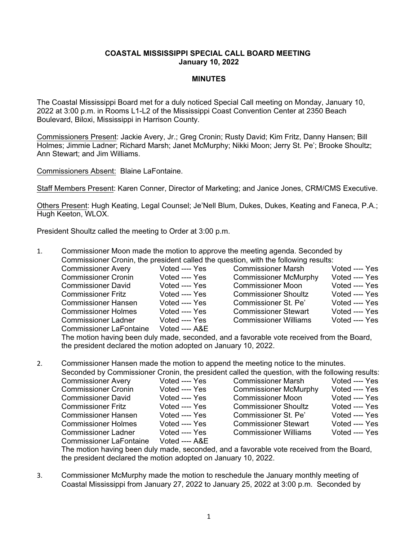## **COASTAL MISSISSIPPI SPECIAL CALL BOARD MEETING January 10, 2022**

## **MINUTES**

The Coastal Mississippi Board met for a duly noticed Special Call meeting on Monday, January 10, 2022 at 3:00 p.m. in Rooms L1-L2 of the Mississippi Coast Convention Center at 2350 Beach Boulevard, Biloxi, Mississippi in Harrison County.

Commissioners Present: Jackie Avery, Jr.; Greg Cronin; Rusty David; Kim Fritz, Danny Hansen; Bill Holmes; Jimmie Ladner; Richard Marsh; Janet McMurphy; Nikki Moon; Jerry St. Pe'; Brooke Shoultz; Ann Stewart; and Jim Williams.

Commissioners Absent: Blaine LaFontaine.

Staff Members Present: Karen Conner, Director of Marketing; and Janice Jones, CRM/CMS Executive.

Others Present: Hugh Keating, Legal Counsel; Je'Nell Blum, Dukes, Dukes, Keating and Faneca, P.A.; Hugh Keeton, WLOX.

President Shoultz called the meeting to Order at 3:00 p.m.

1. Commissioner Moon made the motion to approve the meeting agenda. Seconded by Commissioner Cronin, the president called the question, with the following results:

| <b>Commissioner Avery</b>      | Voted ---- Yes | <b>Commissioner Marsh</b>    | Voted ---- Yes |
|--------------------------------|----------------|------------------------------|----------------|
| <b>Commissioner Cronin</b>     | Voted ---- Yes | <b>Commissioner McMurphy</b> | Voted ---- Yes |
| <b>Commissioner David</b>      | Voted ---- Yes | <b>Commissioner Moon</b>     | Voted ---- Yes |
| <b>Commissioner Fritz</b>      | Voted ---- Yes | <b>Commissioner Shoultz</b>  | Voted ---- Yes |
| <b>Commissioner Hansen</b>     | Voted ---- Yes | Commissioner St. Pe'         | Voted ---- Yes |
| <b>Commissioner Holmes</b>     | Voted ---- Yes | <b>Commissioner Stewart</b>  | Voted ---- Yes |
| <b>Commissioner Ladner</b>     | Voted ---- Yes | <b>Commissioner Williams</b> | Voted ---- Yes |
| <b>Commissioner LaFontaine</b> | Voted ---- A&E |                              |                |

The motion having been duly made, seconded, and a favorable vote received from the Board, the president declared the motion adopted on January 10, 2022.

2. Commissioner Hansen made the motion to append the meeting notice to the minutes.<br>Seconded by Commissioner Cronin, the president called the quantion with the following

|                                |                | Seconded by Commissioner Cronin, the president called the question, with the following results: |                |
|--------------------------------|----------------|-------------------------------------------------------------------------------------------------|----------------|
| <b>Commissioner Avery</b>      | Voted ---- Yes | <b>Commissioner Marsh</b>                                                                       | Voted ---- Yes |
| <b>Commissioner Cronin</b>     | Voted ---- Yes | <b>Commissioner McMurphy</b>                                                                    | Voted ---- Yes |
| <b>Commissioner David</b>      | Voted ---- Yes | <b>Commissioner Moon</b>                                                                        | Voted ---- Yes |
| <b>Commissioner Fritz</b>      | Voted ---- Yes | <b>Commissioner Shoultz</b>                                                                     | Voted ---- Yes |
| <b>Commissioner Hansen</b>     | Voted ---- Yes | Commissioner St. Pe'                                                                            | Voted ---- Yes |
| <b>Commissioner Holmes</b>     | Voted ---- Yes | <b>Commissioner Stewart</b>                                                                     | Voted ---- Yes |
| <b>Commissioner Ladner</b>     | Voted ---- Yes | <b>Commissioner Williams</b>                                                                    | Voted ---- Yes |
| <b>Commissioner LaFontaine</b> | Voted ---- A&E |                                                                                                 |                |

The motion having been duly made, seconded, and a favorable vote received from the Board, the president declared the motion adopted on January 10, 2022.

3. Commissioner McMurphy made the motion to reschedule the January monthly meeting of Coastal Mississippi from January 27, 2022 to January 25, 2022 at 3:00 p.m. Seconded by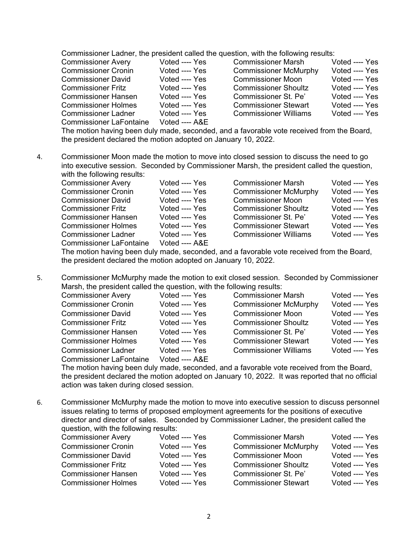Commissioner Ladner, the president called the question, with the following results:

| <b>Commissioner Avery</b>      | Voted ---- Yes | <b>Commissioner Marsh</b>    | Voted ---- Yes |
|--------------------------------|----------------|------------------------------|----------------|
| <b>Commissioner Cronin</b>     | Voted ---- Yes | <b>Commissioner McMurphy</b> | Voted ---- Yes |
| <b>Commissioner David</b>      | Voted ---- Yes | <b>Commissioner Moon</b>     | Voted ---- Yes |
| <b>Commissioner Fritz</b>      | Voted ---- Yes | <b>Commissioner Shoultz</b>  | Voted ---- Yes |
| <b>Commissioner Hansen</b>     | Voted ---- Yes | Commissioner St. Pe'         | Voted ---- Yes |
| <b>Commissioner Holmes</b>     | Voted ---- Yes | <b>Commissioner Stewart</b>  | Voted ---- Yes |
| <b>Commissioner Ladner</b>     | Voted ---- Yes | <b>Commissioner Williams</b> | Voted ---- Yes |
| <b>Commissioner LaFontaine</b> | Voted ---- A&E |                              |                |

The motion having been duly made, seconded, and a favorable vote received from the Board, the president declared the motion adopted on January 10, 2022.

4. Commissioner Moon made the motion to move into closed session to discuss the need to go into executive session. Seconded by Commissioner Marsh, the president called the question, with the following results:

| <b>Commissioner Avery</b>  | Voted ---- Yes      | <b>Commissioner Marsh</b>    | Voted ---- Yes |
|----------------------------|---------------------|------------------------------|----------------|
| <b>Commissioner Cronin</b> | Voted ---- Yes      | <b>Commissioner McMurphy</b> | Voted ---- Yes |
| <b>Commissioner David</b>  | Voted ---- Yes      | <b>Commissioner Moon</b>     | Voted ---- Yes |
| <b>Commissioner Fritz</b>  | Voted ---- Yes      | <b>Commissioner Shoultz</b>  | Voted ---- Yes |
| <b>Commissioner Hansen</b> | Voted ---- Yes      | Commissioner St. Pe'         | Voted ---- Yes |
| <b>Commissioner Holmes</b> | Voted ---- Yes      | <b>Commissioner Stewart</b>  | Voted ---- Yes |
| <b>Commissioner Ladner</b> | Voted ---- Yes      | <b>Commissioner Williams</b> | Voted ---- Yes |
| Commissioner LaFontaine    | $V$ nted ---- $ARF$ |                              |                |

The motion having been duly made, seconded, and a favorable vote received from the Board, the president declared the motion adopted on January 10, 2022.

5. Commissioner McMurphy made the motion to exit closed session. Seconded by Commissioner Marsh, the president called the question, with the following results:

| <b>Commissioner Avery</b>      | Voted ---- Yes | <b>Commissioner Marsh</b>    | Voted ---- Yes |
|--------------------------------|----------------|------------------------------|----------------|
| <b>Commissioner Cronin</b>     | Voted ---- Yes | <b>Commissioner McMurphy</b> | Voted ---- Yes |
| <b>Commissioner David</b>      | Voted ---- Yes | <b>Commissioner Moon</b>     | Voted ---- Yes |
| <b>Commissioner Fritz</b>      | Voted ---- Yes | <b>Commissioner Shoultz</b>  | Voted ---- Yes |
| <b>Commissioner Hansen</b>     | Voted ---- Yes | Commissioner St. Pe'         | Voted ---- Yes |
| <b>Commissioner Holmes</b>     | Voted ---- Yes | <b>Commissioner Stewart</b>  | Voted ---- Yes |
| <b>Commissioner Ladner</b>     | Voted ---- Yes | <b>Commissioner Williams</b> | Voted ---- Yes |
| <b>Commissioner LaFontaine</b> | Voted ---- A&E |                              |                |

The motion having been duly made, seconded, and a favorable vote received from the Board, the president declared the motion adopted on January 10, 2022. It was reported that no official action was taken during closed session.

6. Commissioner McMurphy made the motion to move into executive session to discuss personnel issues relating to terms of proposed employment agreements for the positions of executive director and director of sales. Seconded by Commissioner Ladner, the president called the question, with the following results:

| <b>Commissioner Avery</b>  | Voted ---- Yes | <b>Commissioner Marsh</b>    | Voted ---- Yes |
|----------------------------|----------------|------------------------------|----------------|
| <b>Commissioner Cronin</b> | Voted ---- Yes | <b>Commissioner McMurphy</b> | Voted ---- Yes |
| <b>Commissioner David</b>  | Voted ---- Yes | <b>Commissioner Moon</b>     | Voted ---- Yes |
| <b>Commissioner Fritz</b>  | Voted ---- Yes | <b>Commissioner Shoultz</b>  | Voted ---- Yes |
| <b>Commissioner Hansen</b> | Voted ---- Yes | Commissioner St. Pe'         | Voted ---- Yes |
| <b>Commissioner Holmes</b> | Voted ---- Yes | <b>Commissioner Stewart</b>  | Voted ---- Yes |
|                            |                |                              |                |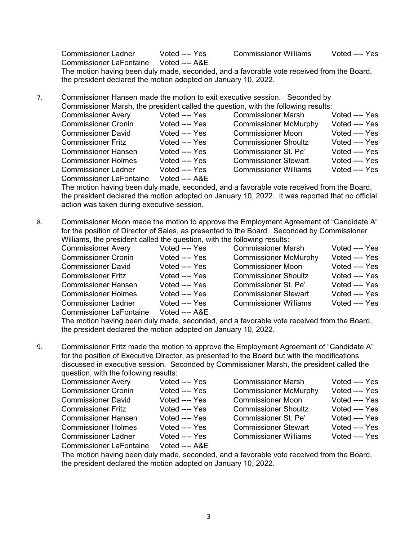Commissioner Ladner Voted Yes Commissioner Williams Voted Yes Commissioner LaFontaine Voted ---- A&E The motion having been duly made, seconded, and a favorable vote received from the Board, the president declared the motion adopted on January 10, 2022.

7. Commissioner Hansen made the motion to exit executive session. Seconded by Commissioner Marsh, the president called the question, with the following results:<br>Commissioner Avery (Voted ---- Yes Commissioner Marsh Commissioner Avery Voted Yes Commissioner Marsh Voted Yes

| <b>UUIIIIIIIIOOIUIIUI AVUI Y</b> | $\sqrt{2}$     | OUITIITIISSIUTUI IVIETSIT    |                |
|----------------------------------|----------------|------------------------------|----------------|
| <b>Commissioner Cronin</b>       | Voted ---- Yes | <b>Commissioner McMurphy</b> | Voted ---- Yes |
| <b>Commissioner David</b>        | Voted ---- Yes | <b>Commissioner Moon</b>     | Voted ---- Yes |
| <b>Commissioner Fritz</b>        | Voted ---- Yes | <b>Commissioner Shoultz</b>  | Voted ---- Yes |
| <b>Commissioner Hansen</b>       | Voted ---- Yes | Commissioner St. Pe'         | Voted ---- Yes |
| <b>Commissioner Holmes</b>       | Voted ---- Yes | <b>Commissioner Stewart</b>  | Voted ---- Yes |
| <b>Commissioner Ladner</b>       | Voted ---- Yes | <b>Commissioner Williams</b> | Voted ---- Yes |
| <b>Commissioner LaFontaine</b>   | Voted ---- A&E |                              |                |

The motion having been duly made, seconded, and a favorable vote received from the Board, the president declared the motion adopted on January 10, 2022. It was reported that no official action was taken during executive session.

8. Commissioner Moon made the motion to approve the Employment Agreement of "Candidate A" for the position of Director of Sales, as presented to the Board. Seconded by Commissioner Williams, the president called the question, with the following results:

| <b>Commissioner Avery</b>      | Voted ---- Yes | <b>Commissioner Marsh</b>    | Voted ---- Yes |
|--------------------------------|----------------|------------------------------|----------------|
|                                |                |                              |                |
| <b>Commissioner Cronin</b>     | Voted ---- Yes | <b>Commissioner McMurphy</b> | Voted ---- Yes |
| <b>Commissioner David</b>      | Voted ---- Yes | <b>Commissioner Moon</b>     | Voted ---- Yes |
| <b>Commissioner Fritz</b>      | Voted ---- Yes | <b>Commissioner Shoultz</b>  | Voted ---- Yes |
| <b>Commissioner Hansen</b>     | Voted ---- Yes | Commissioner St. Pe'         | Voted ---- Yes |
| <b>Commissioner Holmes</b>     | Voted ---- Yes | <b>Commissioner Stewart</b>  | Voted ---- Yes |
| <b>Commissioner Ladner</b>     | Voted ---- Yes | <b>Commissioner Williams</b> | Voted ---- Yes |
| <b>Commissioner LaFontaine</b> | Voted ---- A&E |                              |                |

The motion having been duly made, seconded, and a favorable vote received from the Board, the president declared the motion adopted on January 10, 2022.

9. Commissioner Fritz made the motion to approve the Employment Agreement of "Candidate A" for the position of Executive Director, as presented to the Board but with the modifications discussed in executive session. Seconded by Commissioner Marsh, the president called the question, with the following results:

| <b>Commissioner Avery</b>      | Voted ---- Yes | <b>Commissioner Marsh</b>    | Voted ---- Yes |
|--------------------------------|----------------|------------------------------|----------------|
| <b>Commissioner Cronin</b>     | Voted ---- Yes | <b>Commissioner McMurphy</b> | Voted ---- Yes |
| <b>Commissioner David</b>      | Voted ---- Yes | <b>Commissioner Moon</b>     | Voted ---- Yes |
| <b>Commissioner Fritz</b>      | Voted ---- Yes | <b>Commissioner Shoultz</b>  | Voted ---- Yes |
| <b>Commissioner Hansen</b>     | Voted ---- Yes | Commissioner St. Pe'         | Voted ---- Yes |
| <b>Commissioner Holmes</b>     | Voted ---- Yes | <b>Commissioner Stewart</b>  | Voted ---- Yes |
| <b>Commissioner Ladner</b>     | Voted ---- Yes | <b>Commissioner Williams</b> | Voted ---- Yes |
| <b>Commissioner LaFontaine</b> | Voted ---- A&E |                              |                |

The motion having been duly made, seconded, and a favorable vote received from the Board, the president declared the motion adopted on January 10, 2022.